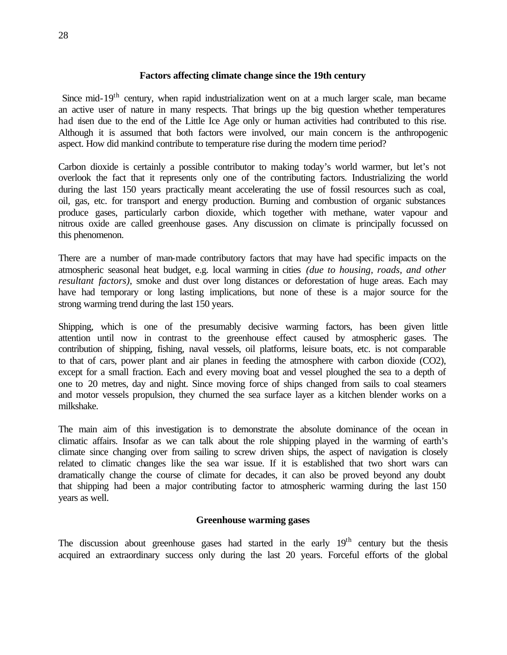#### **Factors affecting climate change since the 19th century**

Since mid-19<sup>th</sup> century, when rapid industrialization went on at a much larger scale, man became an active user of nature in many respects. That brings up the big question whether temperatures had risen due to the end of the Little Ice Age only or human activities had contributed to this rise. Although it is assumed that both factors were involved, our main concern is the anthropogenic aspect. How did mankind contribute to temperature rise during the modern time period?

Carbon dioxide is certainly a possible contributor to making today's world warmer, but let's not overlook the fact that it represents only one of the contributing factors. Industrializing the world during the last 150 years practically meant accelerating the use of fossil resources such as coal, oil, gas, etc. for transport and energy production. Burning and combustion of organic substances produce gases, particularly carbon dioxide, which together with methane, water vapour and nitrous oxide are called greenhouse gases. Any discussion on climate is principally focussed on this phenomenon.

There are a number of man-made contributory factors that may have had specific impacts on the atmospheric seasonal heat budget, e.g. local warming in cities *(due to housing, roads, and other resultant factors)*, smoke and dust over long distances or deforestation of huge areas. Each may have had temporary or long lasting implications, but none of these is a major source for the strong warming trend during the last 150 years.

Shipping, which is one of the presumably decisive warming factors, has been given little attention until now in contrast to the greenhouse effect caused by atmospheric gases. The contribution of shipping, fishing, naval vessels, oil platforms, leisure boats, etc. is not comparable to that of cars, power plant and air planes in feeding the atmosphere with carbon dioxide (CO2), except for a small fraction. Each and every moving boat and vessel ploughed the sea to a depth of one to 20 metres, day and night. Since moving force of ships changed from sails to coal steamers and motor vessels propulsion, they churned the sea surface layer as a kitchen blender works on a milkshake.

The main aim of this investigation is to demonstrate the absolute dominance of the ocean in climatic affairs. Insofar as we can talk about the role shipping played in the warming of earth's climate since changing over from sailing to screw driven ships, the aspect of navigation is closely related to climatic changes like the sea war issue. If it is established that two short wars can dramatically change the course of climate for decades, it can also be proved beyond any doubt that shipping had been a major contributing factor to atmospheric warming during the last 150 years as well.

# **Greenhouse warming gases**

The discussion about greenhouse gases had started in the early  $19<sup>th</sup>$  century but the thesis acquired an extraordinary success only during the last 20 years. Forceful efforts of the global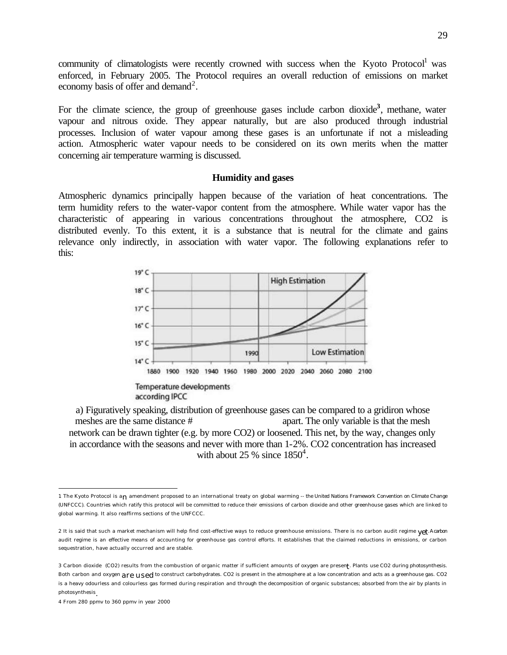community of climatologists were recently crowned with success when the Kyoto Protocol<sup>1</sup> was enforced, in February 2005. The Protocol requires an overall reduction of emissions on market economy basis of offer and demand<sup>2</sup>.

For the climate science, the group of greenhouse gases include carbon dioxide**<sup>3</sup>** , methane, water vapour and nitrous oxide. They appear naturally, but are also produced through industrial processes. Inclusion of water vapour among these gases is an unfortunate if not a misleading action. Atmospheric water vapour needs to be considered on its own merits when the matter concerning air temperature warming is discussed.

#### **Humidity and gases**

Atmospheric dynamics principally happen because of the variation of heat concentrations. The term humidity refers to the water-vapor content from the atmosphere. While water vapor has the characteristic of appearing in various concentrations throughout the atmosphere, CO2 is distributed evenly. To this extent, it is a substance that is neutral for the climate and gains relevance only indirectly, in association with water vapor. The following explanations refer to this:



a) Figuratively speaking, distribution of greenhouse gases can be compared to a gridiron whose meshes are the same distance #  $apart.$  The only variable is that the mesh network can be drawn tighter (e.g. by more CO2) or loosened. This net, by the way, changes only in accordance with the seasons and never with more than 1-2%. CO2 concentration has increased with about 25 % since  $1850^4$ .

 $\overline{a}$ 

<sup>1</sup> The Kyoto Protocol is an amendment proposed to an international treaty on global warming -- the United Nations Framework Convention on Climate Change (UNFCCC). Countries which ratify this protocol will be committed to reduce their emissions of carbon dioxide and other greenhouse gases which are linked to global warming. It also reaffirms sections of the UNFCCC.

<sup>2</sup> It is said that such a market mechanism will help find cost-effective ways to reduce greenhouse emissions. There is no carbon audit regime vet. A carbon audit regime is an effective means of accounting for greenhouse gas control efforts. It establishes that the claimed reductions in emissions, or carbon sequestration, have actually occurred and are stable.

<sup>3</sup> Carbon dioxide (CO2) results from the combustion of organic matter if sufficient amounts of oxygen are present . Plants use CO2 during photosynthesis. Both carbon and oxygen are used to construct carbohydrates. CO2 is present in the atmosphere at a low concentration and acts as a greenhouse gas. CO2 is a heavy odourless and colourless gas formed during respiration and through the decomposition of organic substances; absorbed from the air by plants in photosynthesis.

<sup>4</sup> From 280 ppmv to 360 ppmv in year 2000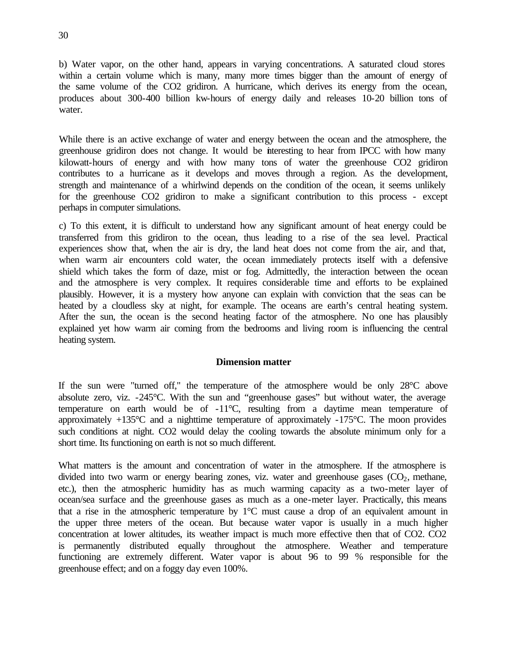b) Water vapor, on the other hand, appears in varying concentrations. A saturated cloud stores within a certain volume which is many, many more times bigger than the amount of energy of the same volume of the CO2 gridiron. A hurricane, which derives its energy from the ocean, produces about 300-400 billion kw-hours of energy daily and releases 10-20 billion tons of water.

While there is an active exchange of water and energy between the ocean and the atmosphere, the greenhouse gridiron does not change. It would be interesting to hear from IPCC with how many kilowatt-hours of energy and with how many tons of water the greenhouse CO2 gridiron contributes to a hurricane as it develops and moves through a region. As the development, strength and maintenance of a whirlwind depends on the condition of the ocean, it seems unlikely for the greenhouse CO2 gridiron to make a significant contribution to this process - except perhaps in computer simulations.

c) To this extent, it is difficult to understand how any significant amount of heat energy could be transferred from this gridiron to the ocean, thus leading to a rise of the sea level. Practical experiences show that, when the air is dry, the land heat does not come from the air, and that, when warm air encounters cold water, the ocean immediately protects itself with a defensive shield which takes the form of daze, mist or fog. Admittedly, the interaction between the ocean and the atmosphere is very complex. It requires considerable time and efforts to be explained plausibly. However, it is a mystery how anyone can explain with conviction that the seas can be heated by a cloudless sky at night, for example. The oceans are earth's central heating system. After the sun, the ocean is the second heating factor of the atmosphere. No one has plausibly explained yet how warm air coming from the bedrooms and living room is influencing the central heating system.

## **Dimension matter**

If the sun were "turned off," the temperature of the atmosphere would be only 28°C above absolute zero, viz. -245°C. With the sun and "greenhouse gases" but without water, the average temperature on earth would be of -11°C, resulting from a daytime mean temperature of approximately +135°C and a nighttime temperature of approximately -175°C. The moon provides such conditions at night. CO2 would delay the cooling towards the absolute minimum only for a short time. Its functioning on earth is not so much different.

What matters is the amount and concentration of water in the atmosphere. If the atmosphere is divided into two warm or energy bearing zones, viz. water and greenhouse gases  $(CO<sub>2</sub>)$ , methane, etc.), then the atmospheric humidity has as much warming capacity as a two-meter layer of ocean/sea surface and the greenhouse gases as much as a one-meter layer. Practically, this means that a rise in the atmospheric temperature by 1°C must cause a drop of an equivalent amount in the upper three meters of the ocean. But because water vapor is usually in a much higher concentration at lower altitudes, its weather impact is much more effective then that of CO2. CO2 is permanently distributed equally throughout the atmosphere. Weather and temperature functioning are extremely different. Water vapor is about 96 to 99 % responsible for the greenhouse effect; and on a foggy day even 100%.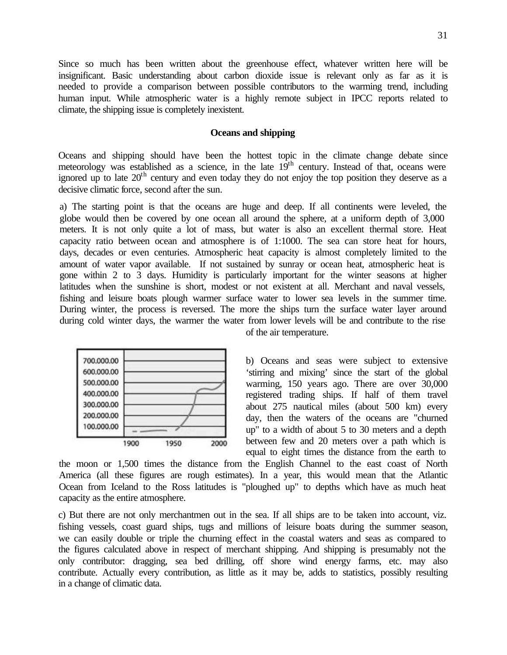Since so much has been written about the greenhouse effect, whatever written here will be insignificant. Basic understanding about carbon dioxide issue is relevant only as far as it is needed to provide a comparison between possible contributors to the warming trend, including human input. While atmospheric water is a highly remote subject in IPCC reports related to climate, the shipping issue is completely inexistent.

### **Oceans and shipping**

Oceans and shipping should have been the hottest topic in the climate change debate since meteorology was established as a science, in the late  $19<sup>th</sup>$  century. Instead of that, oceans were ignored up to late  $20<sup>th</sup>$  century and even today they do not enjoy the top position they deserve as a decisive climatic force, second after the sun.

a) The starting point is that the oceans are huge and deep. If all continents were leveled, the globe would then be covered by one ocean all around the sphere, at a uniform depth of 3,000 meters. It is not only quite a lot of mass, but water is also an excellent thermal store. Heat capacity ratio between ocean and atmosphere is of 1:1000. The sea can store heat for hours, days, decades or even centuries. Atmospheric heat capacity is almost completely limited to the amount of water vapor available. If not sustained by sunray or ocean heat, atmospheric heat is gone within 2 to 3 days. Humidity is particularly important for the winter seasons at higher latitudes when the sunshine is short, modest or not existent at all. Merchant and naval vessels, fishing and leisure boats plough warmer surface water to lower sea levels in the summer time. During winter, the process is reversed. The more the ships turn the surface water layer around during cold winter days, the warmer the water from lower levels will be and contribute to the rise of the air temperature.



b) Oceans and seas were subject to extensive 'stirring and mixing' since the start of the global warming, 150 years ago. There are over 30,000 registered trading ships. If half of them travel about 275 nautical miles (about 500 km) every day, then the waters of the oceans are "churned up" to a width of about 5 to 30 meters and a depth between few and 20 meters over a path which is equal to eight times the distance from the earth to

the moon or 1,500 times the distance from the English Channel to the east coast of North America (all these figures are rough estimates). In a year, this would mean that the Atlantic Ocean from Iceland to the Ross latitudes is "ploughed up" to depths which have as much heat capacity as the entire atmosphere.

c) But there are not only merchantmen out in the sea. If all ships are to be taken into account, viz. fishing vessels, coast guard ships, tugs and millions of leisure boats during the summer season, we can easily double or triple the churning effect in the coastal waters and seas as compared to the figures calculated above in respect of merchant shipping. And shipping is presumably not the only contributor: dragging, sea bed drilling, off shore wind energy farms, etc. may also contribute. Actually every contribution, as little as it may be, adds to statistics, possibly resulting in a change of climatic data.